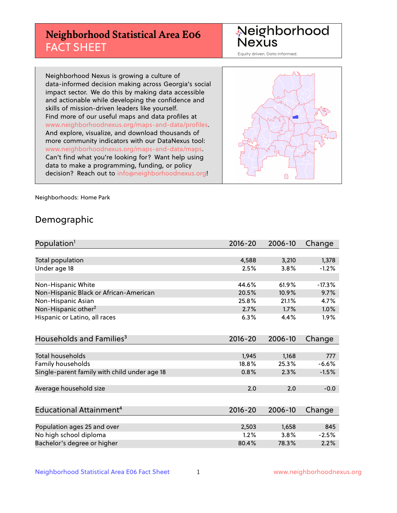# **Neighborhood Statistical Area E06** FACT SHEET

Neighborhood Nexus

Equity driven. Data informed.

Neighborhood Nexus is growing a culture of data-informed decision making across Georgia's social impact sector. We do this by making data accessible and actionable while developing the confidence and skills of mission-driven leaders like yourself. Find more of our useful maps and data profiles at www.neighborhoodnexus.org/maps-and-data/profiles. And explore, visualize, and download thousands of more community indicators with our DataNexus tool: www.neighborhoodnexus.org/maps-and-data/maps. Can't find what you're looking for? Want help using data to make a programming, funding, or policy decision? Reach out to [info@neighborhoodnexus.org!](mailto:info@neighborhoodnexus.org)



Neighborhoods: Home Park

### Demographic

| Population <sup>1</sup>                      | $2016 - 20$ | 2006-10 | Change   |
|----------------------------------------------|-------------|---------|----------|
|                                              |             |         |          |
| Total population                             | 4,588       | 3,210   | 1,378    |
| Under age 18                                 | 2.5%        | 3.8%    | $-1.2%$  |
|                                              |             |         |          |
| Non-Hispanic White                           | 44.6%       | 61.9%   | $-17.3%$ |
| Non-Hispanic Black or African-American       | 20.5%       | 10.9%   | 9.7%     |
| Non-Hispanic Asian                           | 25.8%       | 21.1%   | 4.7%     |
| Non-Hispanic other <sup>2</sup>              | 2.7%        | 1.7%    | $1.0\%$  |
| Hispanic or Latino, all races                | 6.3%        | 4.4%    | $1.9\%$  |
|                                              |             |         |          |
| Households and Families <sup>3</sup>         | $2016 - 20$ | 2006-10 | Change   |
|                                              |             |         |          |
| Total households                             | 1,945       | 1,168   | 777      |
| Family households                            | 18.8%       | 25.3%   | $-6.6%$  |
| Single-parent family with child under age 18 | 0.8%        | 2.3%    | $-1.5%$  |
|                                              |             |         |          |
| Average household size                       | 2.0         | 2.0     | $-0.0$   |
|                                              |             |         |          |
| Educational Attainment <sup>4</sup>          | $2016 - 20$ | 2006-10 | Change   |
|                                              |             |         |          |
| Population ages 25 and over                  | 2,503       | 1,658   | 845      |
| No high school diploma                       | 1.2%        | 3.8%    | $-2.5%$  |
| Bachelor's degree or higher                  | 80.4%       | 78.3%   | 2.2%     |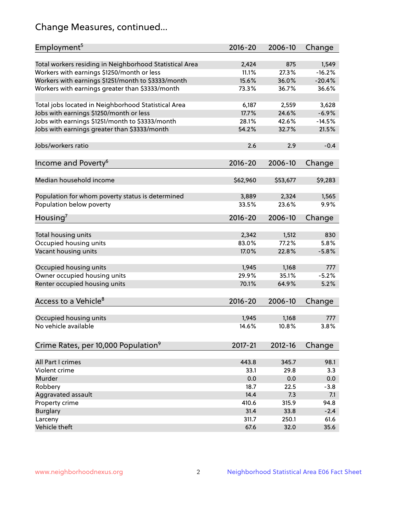# Change Measures, continued...

| Employment <sup>5</sup>                                 | $2016 - 20$    | 2006-10      | Change            |
|---------------------------------------------------------|----------------|--------------|-------------------|
|                                                         |                |              |                   |
| Total workers residing in Neighborhood Statistical Area | 2,424<br>11.1% | 875<br>27.3% | 1,549<br>$-16.2%$ |
| Workers with earnings \$1250/month or less              | 15.6%          | 36.0%        | $-20.4%$          |
| Workers with earnings \$1251/month to \$3333/month      | 73.3%          | 36.7%        | 36.6%             |
| Workers with earnings greater than \$3333/month         |                |              |                   |
| Total jobs located in Neighborhood Statistical Area     | 6,187          | 2,559        | 3,628             |
| Jobs with earnings \$1250/month or less                 | 17.7%          | 24.6%        | $-6.9%$           |
| Jobs with earnings \$1251/month to \$3333/month         | 28.1%          | 42.6%        | $-14.5%$          |
| Jobs with earnings greater than \$3333/month            | 54.2%          | 32.7%        | 21.5%             |
|                                                         |                |              |                   |
| Jobs/workers ratio                                      | 2.6            | 2.9          | $-0.4$            |
|                                                         |                |              |                   |
| Income and Poverty <sup>6</sup>                         | 2016-20        | 2006-10      | Change            |
|                                                         |                |              |                   |
| Median household income                                 | \$62,960       | \$53,677     | \$9,283           |
|                                                         |                |              |                   |
| Population for whom poverty status is determined        | 3,889          | 2,324        | 1,565             |
| Population below poverty                                | 33.5%          | 23.6%        | 9.9%              |
|                                                         |                |              |                   |
| Housing <sup>7</sup>                                    | 2016-20        | 2006-10      | Change            |
|                                                         |                |              |                   |
| Total housing units                                     | 2,342          | 1,512        | 830               |
| Occupied housing units                                  | 83.0%          | 77.2%        | 5.8%              |
| Vacant housing units                                    | 17.0%          | 22.8%        | $-5.8%$           |
|                                                         |                |              |                   |
| Occupied housing units                                  | 1,945          | 1,168        | 777               |
| Owner occupied housing units                            | 29.9%          | 35.1%        | $-5.2%$           |
| Renter occupied housing units                           | 70.1%          | 64.9%        | 5.2%              |
|                                                         |                |              |                   |
| Access to a Vehicle <sup>8</sup>                        | $2016 - 20$    | 2006-10      | Change            |
|                                                         |                |              |                   |
| Occupied housing units                                  | 1,945          | 1,168        | 777               |
| No vehicle available                                    | 14.6%          | 10.8%        | 3.8%              |
|                                                         |                |              |                   |
| Crime Rates, per 10,000 Population <sup>9</sup>         | 2017-21        | 2012-16      | Change            |
|                                                         |                |              |                   |
| All Part I crimes                                       | 443.8          | 345.7        | 98.1              |
| Violent crime                                           | 33.1           | 29.8         | 3.3               |
| Murder                                                  | 0.0            | 0.0          | 0.0               |
| Robbery                                                 | 18.7           | 22.5         | $-3.8$            |
| Aggravated assault                                      | 14.4           | 7.3          | 7.1               |
| Property crime                                          | 410.6          | 315.9        | 94.8              |
| <b>Burglary</b>                                         | 31.4           | 33.8         | $-2.4$            |
| Larceny                                                 | 311.7          | 250.1        | 61.6              |
| Vehicle theft                                           | 67.6           | 32.0         | 35.6              |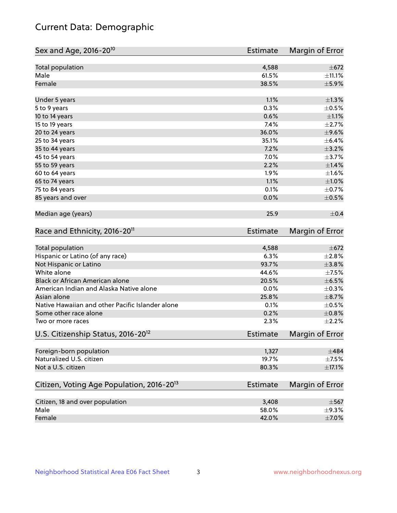# Current Data: Demographic

| Sex and Age, 2016-20 <sup>10</sup>                    | <b>Estimate</b> | Margin of Error |
|-------------------------------------------------------|-----------------|-----------------|
| Total population                                      | 4,588           | $\pm$ 672       |
| Male                                                  | 61.5%           | ±11.1%          |
| Female                                                | 38.5%           | $\pm$ 5.9%      |
| Under 5 years                                         | 1.1%            | $\pm 1.3\%$     |
| 5 to 9 years                                          | 0.3%            | $\pm$ 0.5%      |
| 10 to 14 years                                        | 0.6%            | $\pm 1.1\%$     |
| 15 to 19 years                                        | 7.4%            | $\pm 2.7\%$     |
| 20 to 24 years                                        | 36.0%           | $\pm$ 9.6%      |
| 25 to 34 years                                        | 35.1%           | $\pm$ 6.4%      |
| 35 to 44 years                                        | 7.2%            | $\pm$ 3.2%      |
| 45 to 54 years                                        | 7.0%            | $\pm$ 3.7%      |
| 55 to 59 years                                        | 2.2%            | $\pm1.4\%$      |
| 60 to 64 years                                        | 1.9%            | $\pm 1.6\%$     |
| 65 to 74 years                                        | 1.1%            | ±1.0%           |
| 75 to 84 years                                        | 0.1%            | $\pm$ 0.7%      |
| 85 years and over                                     | 0.0%            | $\pm$ 0.5%      |
| Median age (years)                                    | 25.9            | $\pm$ 0.4       |
| Race and Ethnicity, 2016-20 <sup>11</sup>             | <b>Estimate</b> | Margin of Error |
| Total population                                      | 4,588           | $\pm$ 672       |
| Hispanic or Latino (of any race)                      | 6.3%            | ±2.8%           |
| Not Hispanic or Latino                                | 93.7%           | $\pm$ 3.8%      |
| White alone                                           | 44.6%           | $\pm$ 7.5%      |
| Black or African American alone                       | 20.5%           | $\pm$ 6.5%      |
| American Indian and Alaska Native alone               | 0.0%            | $\pm$ 0.3%      |
| Asian alone                                           | 25.8%           | $\pm$ 8.7%      |
| Native Hawaiian and other Pacific Islander alone      | 0.1%            | $\pm$ 0.5%      |
| Some other race alone                                 | 0.2%            | $\pm 0.8\%$     |
| Two or more races                                     | 2.3%            | $\pm 2.2\%$     |
| U.S. Citizenship Status, 2016-20 <sup>12</sup>        | <b>Estimate</b> | Margin of Error |
| Foreign-born population                               | 1,327           | $\pm$ 484       |
| Naturalized U.S. citizen                              | 19.7%           | $\pm$ 7.5%      |
| Not a U.S. citizen                                    | 80.3%           | $\pm$ 17.1%     |
| Citizen, Voting Age Population, 2016-20 <sup>13</sup> | <b>Estimate</b> | Margin of Error |
| Citizen, 18 and over population                       | 3,408           | $\pm$ 567       |
| Male                                                  | 58.0%           | $\pm$ 9.3%      |
| Female                                                | 42.0%           | $\pm$ 7.0%      |
|                                                       |                 |                 |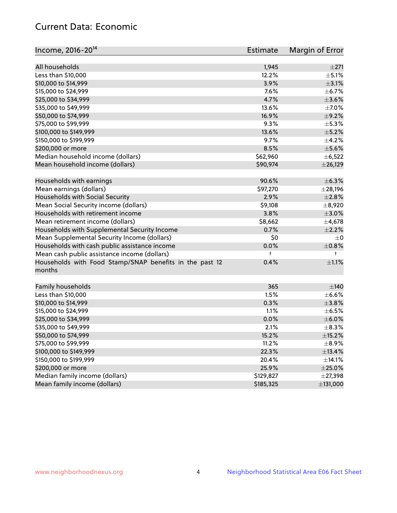# Current Data: Economic

| Income, 2016-20 <sup>14</sup>                                     | Estimate  | Margin of Error |
|-------------------------------------------------------------------|-----------|-----------------|
| All households                                                    | 1,945     | ±271            |
| Less than \$10,000                                                | 12.2%     | $\pm$ 5.1%      |
| \$10,000 to \$14,999                                              | 3.9%      | $\pm$ 3.1%      |
| \$15,000 to \$24,999                                              | 7.6%      | $\pm$ 6.7%      |
| \$25,000 to \$34,999                                              | 4.7%      | $\pm 3.6\%$     |
|                                                                   | 13.6%     |                 |
| \$35,000 to \$49,999                                              |           | $\pm$ 7.0%      |
| \$50,000 to \$74,999                                              | 16.9%     | $\pm$ 9.2%      |
| \$75,000 to \$99,999                                              | 9.3%      | $\pm$ 5.3%      |
| \$100,000 to \$149,999                                            | 13.6%     | $\pm$ 5.2%      |
| \$150,000 to \$199,999                                            | 9.7%      | $\pm$ 4.2%      |
| \$200,000 or more                                                 | 8.5%      | $\pm$ 5.6%      |
| Median household income (dollars)                                 | \$62,960  | $\pm$ 6,522     |
| Mean household income (dollars)                                   | \$90,974  | $±$ 26,129      |
| Households with earnings                                          | 90.6%     | $\pm$ 6.3%      |
| Mean earnings (dollars)                                           | \$97,270  | $±$ 28,196      |
| Households with Social Security                                   | 2.9%      | $\pm 2.8\%$     |
| Mean Social Security income (dollars)                             | \$9,108   | $\pm$ 8,920     |
| Households with retirement income                                 | 3.8%      | $\pm 3.0\%$     |
| Mean retirement income (dollars)                                  | \$8,662   | $\pm$ 4,678     |
| Households with Supplemental Security Income                      | 0.7%      | $\pm 2.2\%$     |
| Mean Supplemental Security Income (dollars)                       | \$0       | $\pm$ 0         |
| Households with cash public assistance income                     | 0.0%      | $\pm$ 0.8%      |
| Mean cash public assistance income (dollars)                      | t         | $^+$            |
| Households with Food Stamp/SNAP benefits in the past 12<br>months | 0.4%      | $\pm 1.1\%$     |
| Family households                                                 | 365       | $\pm$ 140       |
| Less than \$10,000                                                | 1.5%      | $\pm$ 6.6%      |
| \$10,000 to \$14,999                                              | 0.3%      | ±3.8%           |
| \$15,000 to \$24,999                                              | 1.1%      | $\pm$ 6.5%      |
| \$25,000 to \$34,999                                              | 0.0%      | $\pm$ 6.0%      |
| \$35,000 to \$49,999                                              | 2.1%      | $\pm$ 8.3%      |
| \$50,000 to \$74,999                                              | 15.2%     | $\pm$ 15.2%     |
| \$75,000 to \$99,999                                              | 11.2%     | $\pm$ 8.9%      |
| \$100,000 to \$149,999                                            | 22.3%     | ±13.4%          |
| \$150,000 to \$199,999                                            | 20.4%     | $\pm$ 14.1%     |
| \$200,000 or more                                                 | 25.9%     | $\pm 25.0\%$    |
| Median family income (dollars)                                    | \$129,827 | ±27,398         |
| Mean family income (dollars)                                      | \$185,325 | ±131,000        |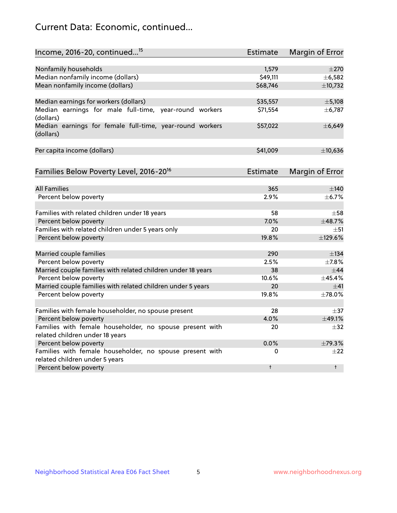# Current Data: Economic, continued...

| Income, 2016-20, continued <sup>15</sup>                                              | <b>Estimate</b> | <b>Margin of Error</b> |
|---------------------------------------------------------------------------------------|-----------------|------------------------|
|                                                                                       |                 |                        |
| Nonfamily households                                                                  | 1,579           | $\pm 270$              |
| Median nonfamily income (dollars)                                                     | \$49,111        | ±6,582                 |
| Mean nonfamily income (dollars)                                                       | \$68,746        | ±10,732                |
| Median earnings for workers (dollars)                                                 | \$35,557        | $\pm$ 5,108            |
| Median earnings for male full-time, year-round workers                                | \$71,554        | ± 6,787                |
| (dollars)                                                                             |                 |                        |
| Median earnings for female full-time, year-round workers<br>(dollars)                 | \$57,022        | ±6,649                 |
| Per capita income (dollars)                                                           | \$41,009        | ±10,636                |
| Families Below Poverty Level, 2016-20 <sup>16</sup>                                   | <b>Estimate</b> | <b>Margin of Error</b> |
|                                                                                       |                 |                        |
| <b>All Families</b>                                                                   | 365             | $\pm$ 140              |
| Percent below poverty                                                                 | 2.9%            | ±6.7%                  |
| Families with related children under 18 years                                         | 58              | $\pm$ 58               |
| Percent below poverty                                                                 | 7.0%            | ±48.7%                 |
| Families with related children under 5 years only                                     | 20              | $\pm$ 51               |
| Percent below poverty                                                                 | 19.8%           | ±129.6%                |
|                                                                                       |                 |                        |
| Married couple families                                                               | 290             | $\pm$ 134              |
| Percent below poverty                                                                 | 2.5%<br>38      | ±7.8%<br>$\pm$ 44      |
| Married couple families with related children under 18 years<br>Percent below poverty | 10.6%           | ±45.4%                 |
| Married couple families with related children under 5 years                           | 20              | ±41                    |
| Percent below poverty                                                                 | 19.8%           | ±78.0%                 |
|                                                                                       |                 |                        |
| Families with female householder, no spouse present                                   | 28              | $\pm$ 37               |
| Percent below poverty                                                                 | 4.0%            | ±49.1%                 |
| Families with female householder, no spouse present with                              | 20              | $\pm$ 32               |
| related children under 18 years                                                       |                 |                        |
| Percent below poverty                                                                 | 0.0%            | ±79.3%                 |
| Families with female householder, no spouse present with                              | 0               | $\pm 22$               |
| related children under 5 years                                                        |                 |                        |
| Percent below poverty                                                                 | $\ddagger$      | $\ddagger$             |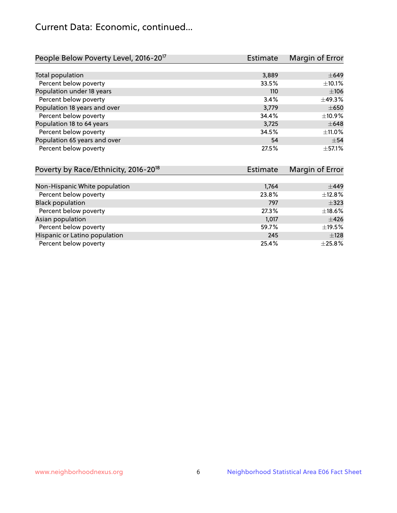# Current Data: Economic, continued...

| People Below Poverty Level, 2016-20 <sup>17</sup> | <b>Estimate</b> | Margin of Error |
|---------------------------------------------------|-----------------|-----------------|
|                                                   |                 |                 |
| Total population                                  | 3,889           | $\pm 649$       |
| Percent below poverty                             | 33.5%           | $\pm$ 10.1%     |
| Population under 18 years                         | 110             | ±106            |
| Percent below poverty                             | 3.4%            | ±49.3%          |
| Population 18 years and over                      | 3,779           | $\pm 650$       |
| Percent below poverty                             | 34.4%           | ±10.9%          |
| Population 18 to 64 years                         | 3,725           | $\pm 648$       |
| Percent below poverty                             | 34.5%           | $\pm$ 11.0%     |
| Population 65 years and over                      | 54              | $\pm$ 54        |
| Percent below poverty                             | 27.5%           | $\pm$ 57.1%     |

| Poverty by Race/Ethnicity, 2016-20 <sup>18</sup> | <b>Estimate</b> | Margin of Error |
|--------------------------------------------------|-----------------|-----------------|
|                                                  |                 |                 |
| Non-Hispanic White population                    | 1,764           | $\pm$ 449       |
| Percent below poverty                            | 23.8%           | ±12.8%          |
| <b>Black population</b>                          | 797             | $\pm$ 323       |
| Percent below poverty                            | 27.3%           | ±18.6%          |
| Asian population                                 | 1,017           | $\pm$ 426       |
| Percent below poverty                            | 59.7%           | $\pm$ 19.5%     |
| Hispanic or Latino population                    | 245             | ±128            |
| Percent below poverty                            | 25.4%           | $\pm 25.8\%$    |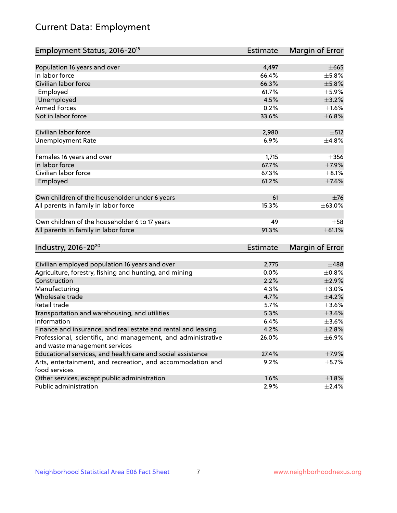# Current Data: Employment

| Employment Status, 2016-20 <sup>19</sup>                      | <b>Estimate</b> | Margin of Error |
|---------------------------------------------------------------|-----------------|-----------------|
|                                                               |                 |                 |
| Population 16 years and over                                  | 4,497           | $\pm 665$       |
| In labor force                                                | 66.4%           | $\pm$ 5.8%      |
| Civilian labor force                                          | 66.3%           | $\pm$ 5.8%      |
| Employed                                                      | 61.7%           | $\pm$ 5.9%      |
| Unemployed                                                    | 4.5%            | $\pm$ 3.2%      |
| <b>Armed Forces</b>                                           | 0.2%            | $\pm1.6\%$      |
| Not in labor force                                            | 33.6%           | ±6.8%           |
| Civilian labor force                                          | 2,980           | $\pm$ 512       |
| <b>Unemployment Rate</b>                                      | 6.9%            | ±4.8%           |
|                                                               |                 |                 |
| Females 16 years and over                                     | 1,715           | $\pm 356$       |
| In labor force                                                | 67.7%           | $\pm$ 7.9%      |
| Civilian labor force                                          | 67.3%           | $\pm 8.1\%$     |
| Employed                                                      | 61.2%           | $\pm$ 7.6%      |
| Own children of the householder under 6 years                 | 61              | $\pm 76$        |
|                                                               | 15.3%           | ±63.0%          |
| All parents in family in labor force                          |                 |                 |
| Own children of the householder 6 to 17 years                 | 49              | $\pm$ 58        |
| All parents in family in labor force                          | 91.3%           | ±61.1%          |
|                                                               |                 |                 |
| Industry, 2016-20 <sup>20</sup>                               | <b>Estimate</b> | Margin of Error |
| Civilian employed population 16 years and over                | 2,775           | $\pm$ 488       |
| Agriculture, forestry, fishing and hunting, and mining        | 0.0%            | $\pm$ 0.8%      |
| Construction                                                  | 2.2%            | $\pm 2.9\%$     |
| Manufacturing                                                 | 4.3%            | $\pm 3.0\%$     |
| Wholesale trade                                               | 4.7%            | $\pm 4.2\%$     |
| Retail trade                                                  | 5.7%            | $\pm 3.6\%$     |
| Transportation and warehousing, and utilities                 | 5.3%            | $\pm 3.6\%$     |
| Information                                                   | 6.4%            | $\pm 3.6\%$     |
| Finance and insurance, and real estate and rental and leasing | 4.2%            | $\pm 2.8\%$     |
| Professional, scientific, and management, and administrative  | 26.0%           | $\pm$ 6.9%      |
| and waste management services                                 |                 |                 |
| Educational services, and health care and social assistance   | 27.4%           | $\pm$ 7.9%      |
| Arts, entertainment, and recreation, and accommodation and    | 9.2%            | $\pm$ 5.7%      |
| food services                                                 |                 |                 |
| Other services, except public administration                  | 1.6%            | $\pm 1.8\%$     |
| Public administration                                         | 2.9%            | $\pm$ 2.4%      |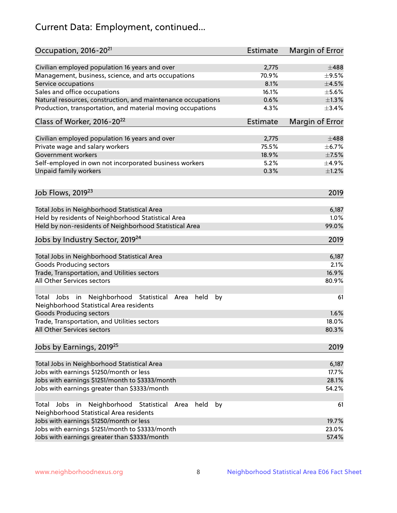# Current Data: Employment, continued...

| Occupation, 2016-20 <sup>21</sup>                                                                       | Estimate | Margin of Error |
|---------------------------------------------------------------------------------------------------------|----------|-----------------|
| Civilian employed population 16 years and over                                                          | 2,775    | $\pm 488$       |
| Management, business, science, and arts occupations                                                     | 70.9%    | $\pm$ 9.5%      |
| Service occupations                                                                                     | 8.1%     | $\pm 4.5\%$     |
| Sales and office occupations                                                                            | 16.1%    | $\pm$ 5.6%      |
| Natural resources, construction, and maintenance occupations                                            | 0.6%     | $\pm 1.3\%$     |
| Production, transportation, and material moving occupations                                             | 4.3%     | ±3.4%           |
| Class of Worker, 2016-20 <sup>22</sup>                                                                  | Estimate | Margin of Error |
| Civilian employed population 16 years and over                                                          | 2,775    | $\pm 488$       |
| Private wage and salary workers                                                                         | 75.5%    | $\pm$ 6.7%      |
| Government workers                                                                                      | 18.9%    | $\pm$ 7.5%      |
| Self-employed in own not incorporated business workers                                                  | 5.2%     | $\pm$ 4.9%      |
| Unpaid family workers                                                                                   | 0.3%     | $\pm 1.2\%$     |
|                                                                                                         |          |                 |
| Job Flows, 2019 <sup>23</sup>                                                                           |          | 2019            |
| Total Jobs in Neighborhood Statistical Area                                                             |          | 6,187           |
| Held by residents of Neighborhood Statistical Area                                                      |          | 1.0%            |
| Held by non-residents of Neighborhood Statistical Area                                                  |          | 99.0%           |
| Jobs by Industry Sector, 2019 <sup>24</sup>                                                             |          | 2019            |
| Total Jobs in Neighborhood Statistical Area                                                             |          | 6,187           |
| <b>Goods Producing sectors</b>                                                                          |          | 2.1%            |
| Trade, Transportation, and Utilities sectors                                                            |          | 16.9%           |
| All Other Services sectors                                                                              |          | 80.9%           |
| Total Jobs in Neighborhood Statistical<br>held<br>by<br>Area<br>Neighborhood Statistical Area residents |          | 61              |
| <b>Goods Producing sectors</b>                                                                          |          | 1.6%            |
| Trade, Transportation, and Utilities sectors                                                            |          | 18.0%           |
| All Other Services sectors                                                                              |          | 80.3%           |
| Jobs by Earnings, 2019 <sup>25</sup>                                                                    |          | 2019            |
| Total Jobs in Neighborhood Statistical Area                                                             |          | 6,187           |
| Jobs with earnings \$1250/month or less                                                                 |          | 17.7%           |
| Jobs with earnings \$1251/month to \$3333/month                                                         |          | 28.1%           |
| Jobs with earnings greater than \$3333/month                                                            |          | 54.2%           |
| Neighborhood Statistical<br>Jobs<br>in<br>Area<br>held<br>by<br>Total                                   |          | 61              |
| Neighborhood Statistical Area residents                                                                 |          |                 |
| Jobs with earnings \$1250/month or less                                                                 |          | 19.7%           |
| Jobs with earnings \$1251/month to \$3333/month                                                         |          | 23.0%           |
| Jobs with earnings greater than \$3333/month                                                            |          | 57.4%           |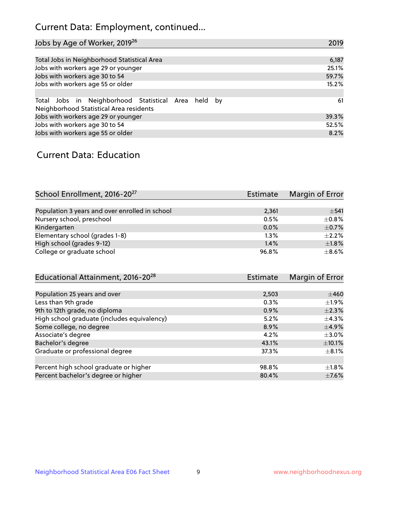# Current Data: Employment, continued...

| Jobs by Age of Worker, 2019 <sup>26</sup>                                                      | 2019  |
|------------------------------------------------------------------------------------------------|-------|
|                                                                                                |       |
| Total Jobs in Neighborhood Statistical Area                                                    | 6,187 |
| Jobs with workers age 29 or younger                                                            | 25.1% |
| Jobs with workers age 30 to 54                                                                 | 59.7% |
| Jobs with workers age 55 or older                                                              | 15.2% |
|                                                                                                |       |
| Total Jobs in Neighborhood Statistical Area held by<br>Neighborhood Statistical Area residents | 61    |
| Jobs with workers age 29 or younger                                                            | 39.3% |
| Jobs with workers age 30 to 54                                                                 | 52.5% |
| Jobs with workers age 55 or older                                                              | 8.2%  |

### Current Data: Education

| School Enrollment, 2016-20 <sup>27</sup>       | Estimate | Margin of Error |
|------------------------------------------------|----------|-----------------|
|                                                |          |                 |
| Population 3 years and over enrolled in school | 2,361    | $\pm$ 541       |
| Nursery school, preschool                      | 0.5%     | $\pm$ 0.8%      |
| Kindergarten                                   | 0.0%     | $\pm$ 0.7%      |
| Elementary school (grades 1-8)                 | 1.3%     | $+2.2%$         |
| High school (grades 9-12)                      | 1.4%     | $\pm$ 1.8%      |
| College or graduate school                     | 96.8%    | $\pm$ 8.6%      |

| Estimate | Margin of Error |
|----------|-----------------|
|          |                 |
| 2,503    | $\pm 460$       |
| 0.3%     | $\pm 1.9\%$     |
| 0.9%     | $\pm 2.3\%$     |
| 5.2%     | $\pm$ 4.3%      |
| 8.9%     | $\pm$ 4.9%      |
| 4.2%     | $\pm 3.0\%$     |
| 43.1%    | $\pm$ 10.1%     |
| 37.3%    | $\pm$ 8.1%      |
|          |                 |
| 98.8%    | $\pm 1.8\%$     |
| 80.4%    | $\pm$ 7.6%      |
|          |                 |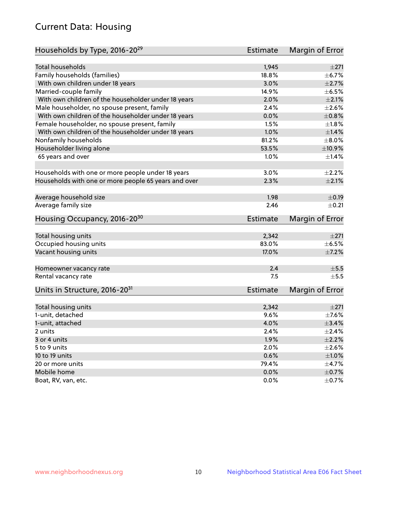# Current Data: Housing

| Households by Type, 2016-20 <sup>29</sup>            | <b>Estimate</b> | Margin of Error |
|------------------------------------------------------|-----------------|-----------------|
|                                                      |                 |                 |
| Total households                                     | 1,945           | ±271            |
| Family households (families)                         | 18.8%           | ±6.7%           |
| With own children under 18 years                     | 3.0%            | $\pm 2.7\%$     |
| Married-couple family                                | 14.9%           | $\pm$ 6.5%      |
| With own children of the householder under 18 years  | 2.0%            | $\pm 2.1\%$     |
| Male householder, no spouse present, family          | 2.4%            | $\pm 2.6\%$     |
| With own children of the householder under 18 years  | 0.0%            | $\pm 0.8\%$     |
| Female householder, no spouse present, family        | 1.5%            | $\pm 1.8\%$     |
| With own children of the householder under 18 years  | 1.0%            | $\pm$ 1.4%      |
| Nonfamily households                                 | 81.2%           | $\pm 8.0\%$     |
| Householder living alone                             | 53.5%           | ±10.9%          |
| 65 years and over                                    | $1.0\%$         | $\pm$ 1.4%      |
| Households with one or more people under 18 years    | 3.0%            | $\pm 2.2\%$     |
| Households with one or more people 65 years and over | 2.3%            | $\pm 2.1\%$     |
|                                                      |                 |                 |
| Average household size                               | 1.98            | $\pm$ 0.19      |
| Average family size                                  | 2.46            | $\pm$ 0.21      |
| Housing Occupancy, 2016-20 <sup>30</sup>             | <b>Estimate</b> | Margin of Error |
| Total housing units                                  | 2,342           | ±271            |
| Occupied housing units                               | 83.0%           | $\pm$ 6.5%      |
| Vacant housing units                                 | 17.0%           | $\pm$ 7.2%      |
|                                                      |                 |                 |
| Homeowner vacancy rate                               | 2.4             | $\pm$ 5.5       |
| Rental vacancy rate                                  | 7.5             | $+5.5$          |
| Units in Structure, 2016-20 <sup>31</sup>            | Estimate        | Margin of Error |
| Total housing units                                  | 2,342           | $\pm 271$       |
| 1-unit, detached                                     | 9.6%            | $\pm$ 7.6%      |
|                                                      | 4.0%            | $\pm$ 3.4%      |
| 1-unit, attached                                     |                 | $\pm 2.4\%$     |
| 2 units                                              | 2.4%            |                 |
| 3 or 4 units                                         | 1.9%            | $\pm 2.2\%$     |
| 5 to 9 units                                         | 2.0%            | $\pm 2.6\%$     |
| 10 to 19 units                                       | 0.6%            | ±1.0%           |
| 20 or more units                                     | 79.4%           | ±4.7%           |
| Mobile home                                          | 0.0%            | $\pm$ 0.7%      |
| Boat, RV, van, etc.                                  | $0.0\%$         | $\pm$ 0.7%      |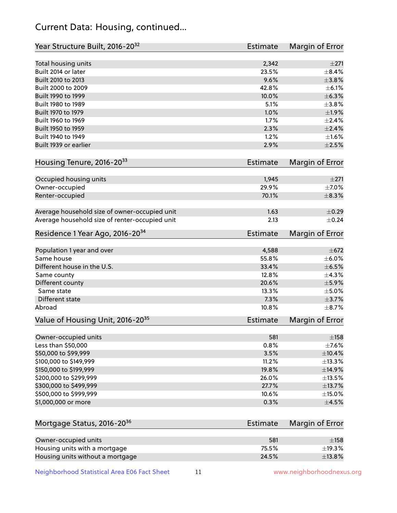# Current Data: Housing, continued...

| Year Structure Built, 2016-20 <sup>32</sup>    | <b>Estimate</b> | <b>Margin of Error</b>  |
|------------------------------------------------|-----------------|-------------------------|
| Total housing units                            | 2,342           | $\pm 271$               |
| Built 2014 or later                            | 23.5%           | $\pm$ 8.4%              |
| Built 2010 to 2013                             | 9.6%            | ±3.8%                   |
| Built 2000 to 2009                             | 42.8%           | $\pm$ 6.1%              |
| Built 1990 to 1999                             | 10.0%           | ±6.3%                   |
| Built 1980 to 1989                             | 5.1%            | $\pm$ 3.8%              |
| Built 1970 to 1979                             | 1.0%            | ±1.9%                   |
| Built 1960 to 1969                             | 1.7%            | $\pm 2.4\%$             |
| Built 1950 to 1959                             | 2.3%            | $\pm 2.4\%$             |
| Built 1940 to 1949                             | 1.2%            | $\pm1.6\%$              |
| Built 1939 or earlier                          | 2.9%            | $\pm 2.5\%$             |
| Housing Tenure, 2016-2033                      | Estimate        | <b>Margin of Error</b>  |
|                                                |                 |                         |
| Occupied housing units                         | 1,945<br>29.9%  | $\pm 271$<br>$\pm$ 7.0% |
| Owner-occupied                                 | 70.1%           | $\pm$ 8.3%              |
| Renter-occupied                                |                 |                         |
| Average household size of owner-occupied unit  | 1.63            | $\pm$ 0.29              |
| Average household size of renter-occupied unit | 2.13            | $\pm$ 0.24              |
| Residence 1 Year Ago, 2016-20 <sup>34</sup>    | Estimate        | <b>Margin of Error</b>  |
| Population 1 year and over                     | 4,588           | $\pm 672$               |
| Same house                                     | 55.8%           | $\pm$ 6.0%              |
| Different house in the U.S.                    | 33.4%           | $\pm$ 6.5%              |
| Same county                                    | 12.8%           | ±4.3%                   |
| Different county                               | 20.6%           | $\pm$ 5.9%              |
| Same state                                     | 13.3%           | $\pm$ 5.0%              |
| Different state                                | 7.3%            | $\pm$ 3.7%              |
| Abroad                                         | 10.8%           | $\pm$ 8.7%              |
| Value of Housing Unit, 2016-20 <sup>35</sup>   | <b>Estimate</b> | Margin of Error         |
| Owner-occupied units                           | 581             | $\pm$ 158               |
| Less than \$50,000                             | 0.8%            | $\pm$ 7.6%              |
| \$50,000 to \$99,999                           | 3.5%            | ±10.4%                  |
| \$100,000 to \$149,999                         | 11.2%           | ±13.3%                  |
| \$150,000 to \$199,999                         | 19.8%           | ±14.9%                  |
| \$200,000 to \$299,999                         | 26.0%           | ±13.5%                  |
| \$300,000 to \$499,999                         | 27.7%           | ±13.7%                  |
| \$500,000 to \$999,999                         | 10.6%           | $\pm$ 15.0%             |
| \$1,000,000 or more                            | 0.3%            | $\pm 4.5\%$             |
| Mortgage Status, 2016-20 <sup>36</sup>         | <b>Estimate</b> | Margin of Error         |
| Owner-occupied units                           | 581             | ±158                    |
| Housing units with a mortgage                  | 75.5%           | ±19.3%                  |

Neighborhood Statistical Area E06 Fact Sheet 11 11 www.neighborhoodnexus.org

Housing units without a mortgage  $\pm 13.8\%$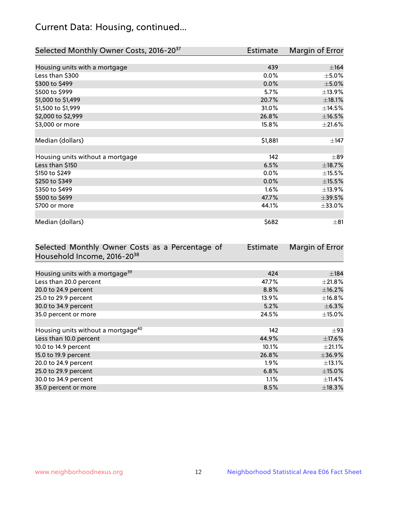# Current Data: Housing, continued...

| Selected Monthly Owner Costs, 2016-20 <sup>37</sup> | <b>Estimate</b> | Margin of Error |
|-----------------------------------------------------|-----------------|-----------------|
|                                                     |                 |                 |
| Housing units with a mortgage                       | 439             | ±164            |
| Less than \$300                                     | 0.0%            | $\pm$ 5.0%      |
| \$300 to \$499                                      | 0.0%            | $\pm$ 5.0%      |
| \$500 to \$999                                      | 5.7%            | ±13.9%          |
| \$1,000 to \$1,499                                  | 20.7%           | $\pm$ 18.1%     |
| \$1,500 to \$1,999                                  | 31.0%           | ±14.5%          |
| \$2,000 to \$2,999                                  | 26.8%           | $\pm$ 16.5%     |
| \$3,000 or more                                     | 15.8%           | $\pm 21.6\%$    |
|                                                     |                 |                 |
| Median (dollars)                                    | \$1,881         | $\pm$ 147       |
|                                                     |                 |                 |
| Housing units without a mortgage                    | 142             | $\pm$ 89        |
| Less than \$150                                     | 6.5%            | ±18.7%          |
| \$150 to \$249                                      | 0.0%            | $\pm$ 15.5%     |
| \$250 to \$349                                      | 0.0%            | $\pm$ 15.5%     |
| \$350 to \$499                                      | 1.6%            | ±13.9%          |
| \$500 to \$699                                      | 47.7%           | $\pm 39.5\%$    |
| \$700 or more                                       | 44.1%           | ±33.0%          |
|                                                     |                 |                 |
| Median (dollars)                                    | \$682           | $\pm$ 81        |

| Selected Monthly Owner Costs as a Percentage of | <b>Estimate</b> | Margin of Error |
|-------------------------------------------------|-----------------|-----------------|
| Household Income, 2016-20 <sup>38</sup>         |                 |                 |
|                                                 |                 |                 |
| Housing units with a mortgage <sup>39</sup>     | 424             | $\pm$ 184       |
| Less than 20.0 percent                          | 47.7%           | $\pm 21.8\%$    |
| 20.0 to 24.9 percent                            | 8.8%            | $\pm$ 16.2%     |
| 25.0 to 29.9 percent                            | 13.9%           | $\pm$ 16.8%     |
| 30.0 to 34.9 percent                            | 5.2%            | $\pm$ 6.3%      |
| 35.0 percent or more                            | 24.5%           | $\pm$ 15.0%     |
|                                                 |                 |                 |
| Housing units without a mortgage <sup>40</sup>  | 142             | $\pm$ 93        |
| Less than 10.0 percent                          | 44.9%           | $\pm$ 17.6%     |
| 10.0 to 14.9 percent                            | 10.1%           | $\pm 21.1\%$    |
| 15.0 to 19.9 percent                            | 26.8%           | ±36.9%          |
| 20.0 to 24.9 percent                            | $1.9\%$         | $\pm$ 13.1%     |
| 25.0 to 29.9 percent                            | 6.8%            | $\pm$ 15.0%     |
| 30.0 to 34.9 percent                            | $1.1\%$         | $\pm$ 11.4%     |
| 35.0 percent or more                            | 8.5%            | $\pm$ 18.3%     |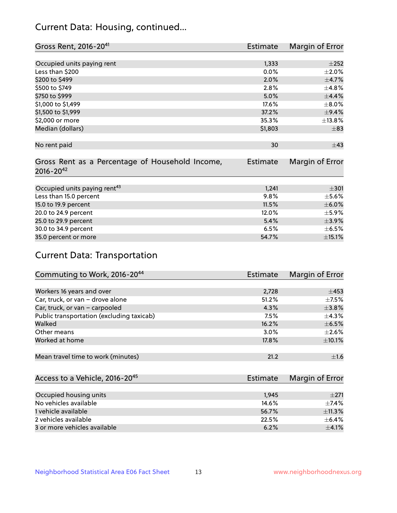# Current Data: Housing, continued...

| Gross Rent, 2016-20 <sup>41</sup>               | <b>Estimate</b> | Margin of Error |
|-------------------------------------------------|-----------------|-----------------|
|                                                 |                 |                 |
| Occupied units paying rent                      | 1,333           | $\pm 252$       |
| Less than \$200                                 | 0.0%            | $\pm 2.0\%$     |
| \$200 to \$499                                  | 2.0%            | $\pm$ 4.7%      |
| \$500 to \$749                                  | 2.8%            | ±4.8%           |
| \$750 to \$999                                  | 5.0%            | ±4.4%           |
| \$1,000 to \$1,499                              | 17.6%           | $\pm$ 8.0%      |
| \$1,500 to \$1,999                              | 37.2%           | $\pm$ 9.4%      |
| \$2,000 or more                                 | 35.3%           | ±13.8%          |
| Median (dollars)                                | \$1,803         | $\pm$ 83        |
|                                                 |                 |                 |
| No rent paid                                    | 30              | $\pm$ 43        |
|                                                 |                 |                 |
| Gross Rent as a Percentage of Household Income, | <b>Estimate</b> | Margin of Error |
| $2016 - 20^{42}$                                |                 |                 |
|                                                 |                 |                 |
| Occupied units paying rent <sup>43</sup>        | 1,241           | $\pm 301$       |
| Less than 15.0 percent                          | 9.8%            | $\pm$ 5.6%      |
| 15.0 to 19.9 percent                            | 11.5%           | $\pm$ 6.0%      |
| 20.0 to 24.9 percent                            | 12.0%           | $\pm$ 5.9%      |
| 25.0 to 29.9 percent                            | 5.4%            | $\pm$ 3.9%      |
| 30.0 to 34.9 percent                            | 6.5%            | $\pm$ 6.5%      |
| 35.0 percent or more                            | 54.7%           | $\pm$ 15.1%     |

# Current Data: Transportation

| Commuting to Work, 2016-20 <sup>44</sup>  | Estimate | Margin of Error |
|-------------------------------------------|----------|-----------------|
|                                           |          |                 |
| Workers 16 years and over                 | 2,728    | $\pm$ 453       |
| Car, truck, or van - drove alone          | 51.2%    | $\pm$ 7.5%      |
| Car, truck, or van - carpooled            | 4.3%     | ±3.8%           |
| Public transportation (excluding taxicab) | 7.5%     | ±4.3%           |
| Walked                                    | 16.2%    | $\pm$ 6.5%      |
| Other means                               | 3.0%     | $\pm 2.6\%$     |
| Worked at home                            | 17.8%    | $\pm 10.1\%$    |
|                                           |          |                 |
| Mean travel time to work (minutes)        | 21.2     | $\pm 1.6$       |

| Access to a Vehicle, 2016-20 <sup>45</sup> | Estimate | Margin of Error |
|--------------------------------------------|----------|-----------------|
|                                            |          |                 |
| Occupied housing units                     | 1,945    | $\pm 271$       |
| No vehicles available                      | 14.6%    | $+7.4%$         |
| 1 vehicle available                        | 56.7%    | ±11.3%          |
| 2 vehicles available                       | 22.5%    | $+6.4%$         |
| 3 or more vehicles available               | 6.2%     | $\pm$ 4.1%      |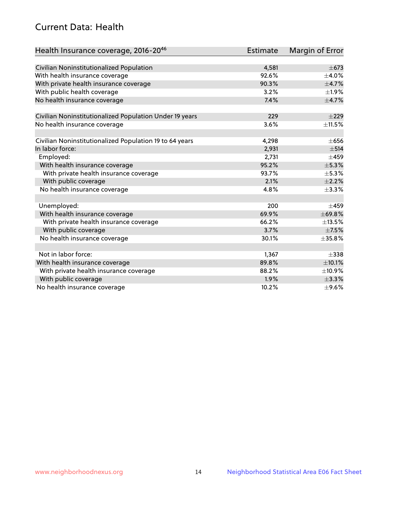# Current Data: Health

| Health Insurance coverage, 2016-2046                    | <b>Estimate</b> | Margin of Error |
|---------------------------------------------------------|-----------------|-----------------|
|                                                         |                 |                 |
| Civilian Noninstitutionalized Population                | 4,581           | $\pm$ 673       |
| With health insurance coverage                          | 92.6%           | $\pm$ 4.0%      |
| With private health insurance coverage                  | 90.3%           | $\pm$ 4.7%      |
| With public health coverage                             | 3.2%            | $\pm 1.9\%$     |
| No health insurance coverage                            | 7.4%            | $\pm$ 4.7%      |
| Civilian Noninstitutionalized Population Under 19 years | 229             | $\pm 229$       |
| No health insurance coverage                            | 3.6%            | $\pm$ 11.5%     |
|                                                         |                 |                 |
| Civilian Noninstitutionalized Population 19 to 64 years | 4,298           | $\pm 656$       |
| In labor force:                                         | 2,931           | $\pm$ 514       |
| Employed:                                               | 2,731           | $\pm 459$       |
| With health insurance coverage                          | 95.2%           | ±5.3%           |
| With private health insurance coverage                  | 93.7%           | ±5.3%           |
| With public coverage                                    | 2.1%            | $\pm 2.2\%$     |
| No health insurance coverage                            | 4.8%            | ±3.3%           |
|                                                         |                 |                 |
| Unemployed:                                             | 200             | $\pm 459$       |
| With health insurance coverage                          | 69.9%           | ±69.8%          |
| With private health insurance coverage                  | 66.2%           | ±13.5%          |
| With public coverage                                    | 3.7%            | $\pm$ 7.5%      |
| No health insurance coverage                            | 30.1%           | ±35.8%          |
|                                                         |                 |                 |
| Not in labor force:                                     | 1,367           | $\pm$ 338       |
| With health insurance coverage                          | 89.8%           | $\pm 10.1\%$    |
| With private health insurance coverage                  | 88.2%           | ±10.9%          |
| With public coverage                                    | 1.9%            | ±3.3%           |
| No health insurance coverage                            | 10.2%           | $\pm$ 9.6%      |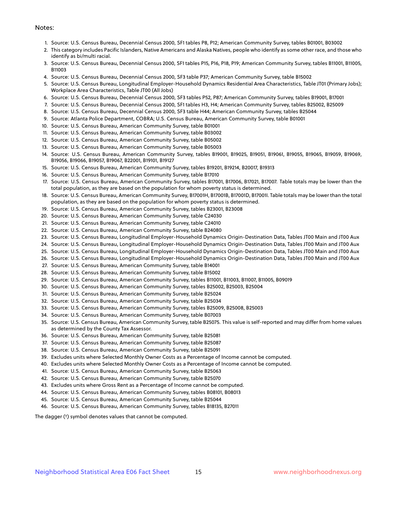#### Notes:

- 1. Source: U.S. Census Bureau, Decennial Census 2000, SF1 tables P8, P12; American Community Survey, tables B01001, B03002
- 2. This category includes Pacific Islanders, Native Americans and Alaska Natives, people who identify as some other race, and those who identify as bi/multi racial.
- 3. Source: U.S. Census Bureau, Decennial Census 2000, SF1 tables P15, P16, P18, P19; American Community Survey, tables B11001, B11005, B11003
- 4. Source: U.S. Census Bureau, Decennial Census 2000, SF3 table P37; American Community Survey, table B15002
- 5. Source: U.S. Census Bureau, Longitudinal Employer-Household Dynamics Residential Area Characteristics, Table JT01 (Primary Jobs); Workplace Area Characteristics, Table JT00 (All Jobs)
- 6. Source: U.S. Census Bureau, Decennial Census 2000, SF3 tables P52, P87; American Community Survey, tables B19001, B17001
- 7. Source: U.S. Census Bureau, Decennial Census 2000, SF1 tables H3, H4; American Community Survey, tables B25002, B25009
- 8. Source: U.S. Census Bureau, Decennial Census 2000, SF3 table H44; American Community Survey, tables B25044
- 9. Source: Atlanta Police Department, COBRA; U.S. Census Bureau, American Community Survey, table B01001
- 10. Source: U.S. Census Bureau, American Community Survey, table B01001
- 11. Source: U.S. Census Bureau, American Community Survey, table B03002
- 12. Source: U.S. Census Bureau, American Community Survey, table B05002
- 13. Source: U.S. Census Bureau, American Community Survey, table B05003
- 14. Source: U.S. Census Bureau, American Community Survey, tables B19001, B19025, B19051, B19061, B19055, B19065, B19059, B19069, B19056, B19066, B19057, B19067, B22001, B19101, B19127
- 15. Source: U.S. Census Bureau, American Community Survey, tables B19201, B19214, B20017, B19313
- 16. Source: U.S. Census Bureau, American Community Survey, table B17010
- 17. Source: U.S. Census Bureau, American Community Survey, tables B17001, B17006, B17021, B17007. Table totals may be lower than the total population, as they are based on the population for whom poverty status is determined.
- 18. Source: U.S. Census Bureau, American Community Survey, B17001H, B17001B, B17001D, B17001I. Table totals may be lower than the total population, as they are based on the population for whom poverty status is determined.
- 19. Source: U.S. Census Bureau, American Community Survey, tables B23001, B23008
- 20. Source: U.S. Census Bureau, American Community Survey, table C24030
- 21. Source: U.S. Census Bureau, American Community Survey, table C24010
- 22. Source: U.S. Census Bureau, American Community Survey, table B24080
- 23. Source: U.S. Census Bureau, Longitudinal Employer-Household Dynamics Origin-Destination Data, Tables JT00 Main and JT00 Aux
- 24. Source: U.S. Census Bureau, Longitudinal Employer-Household Dynamics Origin-Destination Data, Tables JT00 Main and JT00 Aux
- 25. Source: U.S. Census Bureau, Longitudinal Employer-Household Dynamics Origin-Destination Data, Tables JT00 Main and JT00 Aux
- 26. Source: U.S. Census Bureau, Longitudinal Employer-Household Dynamics Origin-Destination Data, Tables JT00 Main and JT00 Aux
- 27. Source: U.S. Census Bureau, American Community Survey, table B14001
- 28. Source: U.S. Census Bureau, American Community Survey, table B15002
- 29. Source: U.S. Census Bureau, American Community Survey, tables B11001, B11003, B11007, B11005, B09019
- 30. Source: U.S. Census Bureau, American Community Survey, tables B25002, B25003, B25004
- 31. Source: U.S. Census Bureau, American Community Survey, table B25024
- 32. Source: U.S. Census Bureau, American Community Survey, table B25034
- 33. Source: U.S. Census Bureau, American Community Survey, tables B25009, B25008, B25003
- 34. Source: U.S. Census Bureau, American Community Survey, table B07003
- 35. Source: U.S. Census Bureau, American Community Survey, table B25075. This value is self-reported and may differ from home values as determined by the County Tax Assessor.
- 36. Source: U.S. Census Bureau, American Community Survey, table B25081
- 37. Source: U.S. Census Bureau, American Community Survey, table B25087
- 38. Source: U.S. Census Bureau, American Community Survey, table B25091
- 39. Excludes units where Selected Monthly Owner Costs as a Percentage of Income cannot be computed.
- 40. Excludes units where Selected Monthly Owner Costs as a Percentage of Income cannot be computed.
- 41. Source: U.S. Census Bureau, American Community Survey, table B25063
- 42. Source: U.S. Census Bureau, American Community Survey, table B25070
- 43. Excludes units where Gross Rent as a Percentage of Income cannot be computed.
- 44. Source: U.S. Census Bureau, American Community Survey, tables B08101, B08013
- 45. Source: U.S. Census Bureau, American Community Survey, table B25044
- 46. Source: U.S. Census Bureau, American Community Survey, tables B18135, B27011

The dagger (†) symbol denotes values that cannot be computed.